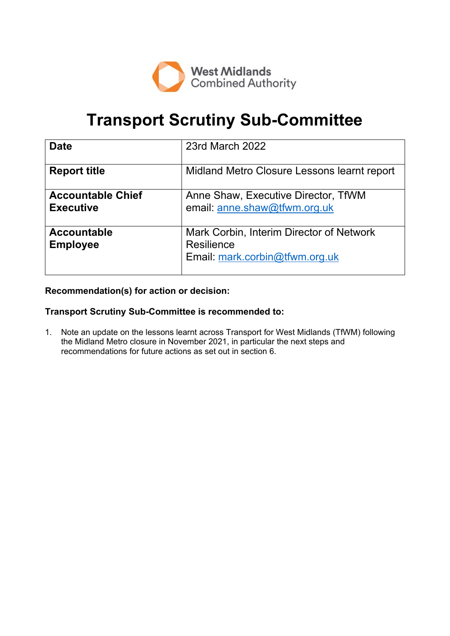

# **Transport Scrutiny Sub-Committee**

| <b>Date</b>                                  | 23rd March 2022                                                                          |
|----------------------------------------------|------------------------------------------------------------------------------------------|
| <b>Report title</b>                          | Midland Metro Closure Lessons learnt report                                              |
| <b>Accountable Chief</b><br><b>Executive</b> | Anne Shaw, Executive Director, TfWM<br>email: anne.shaw@tfwm.org.uk                      |
| <b>Accountable</b><br><b>Employee</b>        | Mark Corbin, Interim Director of Network<br>Resilience<br>Email: mark.corbin@tfwm.org.uk |

# **Recommendation(s) for action or decision:**

## **Transport Scrutiny Sub-Committee is recommended to:**

1. Note an update on the lessons learnt across Transport for West Midlands (TfWM) following the Midland Metro closure in November 2021, in particular the next steps and recommendations for future actions as set out in section 6.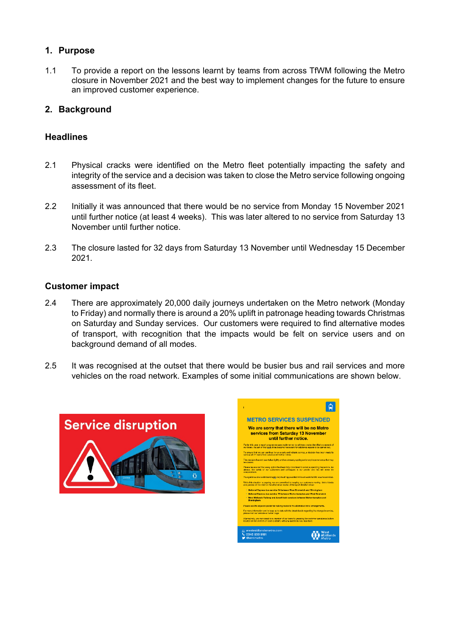# **1. Purpose**

1.1 To provide a report on the lessons learnt by teams from across TfWM following the Metro closure in November 2021 and the best way to implement changes for the future to ensure an improved customer experience.

# **2. Background**

## **Headlines**

- 2.1 Physical cracks were identified on the Metro fleet potentially impacting the safety and integrity of the service and a decision was taken to close the Metro service following ongoing assessment of its fleet.
- 2.2 Initially it was announced that there would be no service from Monday 15 November 2021 until further notice (at least 4 weeks). This was later altered to no service from Saturday 13 November until further notice.
- 2.3 The closure lasted for 32 days from Saturday 13 November until Wednesday 15 December 2021.

## **Customer impact**

- 2.4 There are approximately 20,000 daily journeys undertaken on the Metro network (Monday to Friday) and normally there is around a 20% uplift in patronage heading towards Christmas on Saturday and Sunday services. Our customers were required to find alternative modes of transport, with recognition that the impacts would be felt on service users and on background demand of all modes.
- 2.5 It was recognised at the outset that there would be busier bus and rail services and more vehicles on the road network. Examples of some initial communications are shown below.



| ī                                                                                                                                                                                                              |  |  |
|----------------------------------------------------------------------------------------------------------------------------------------------------------------------------------------------------------------|--|--|
| <b>METRO SERVICES SUSPENDED</b>                                                                                                                                                                                |  |  |
| We are sorry that there will be no Metro<br>services from Saturday 13 November<br>until further notice.                                                                                                        |  |  |
| Earlier this year a repair programme was implemented to address cracks identified on several of<br>our trains. As part of this work it has become necessary for additional repairs to be carried out.          |  |  |
| To ensure that we can continue to run a safe and reliable service, a decision has been made to<br>ramma el 21 trems from corvine until further notice.                                                         |  |  |
| This decision has not been taken fightly and we sincerely apologies for any inconvenience that may<br>be caused.                                                                                               |  |  |
| Please be assumed that every cotion has been faily considered to evold suspending the service. As<br>always, the safety of our customers and colleagues is our priority and this will never be<br>compromised. |  |  |
| Your patience and understanding is very much eporadated while we work hard to resume services.                                                                                                                 |  |  |
| While this situation is engoing, we are committed to keeping our qustomers moving. Metro fickets<br>and passes will be vaid on the allemative modes of transport detailed below.                               |  |  |
| . National Express bus service 74 between West Bromwich and Birmingham                                                                                                                                         |  |  |
| . National Express bus service 79 between Wolverhampton and West Bromwich<br>. West Midlands Railway and Avanti train services between Wolverhampton and                                                       |  |  |
| <b>Birmingham</b>                                                                                                                                                                                              |  |  |
| Please see the adjacent poster for waiking routes to the alternative travel arrangements.                                                                                                                      |  |  |
| For more information and to keep up to date with the Isteal details regarding the change in service,<br>please visit our website or twitter page.                                                              |  |  |
| Alternatively, you can speak to a member of our team by pressing the customer assistance button<br>located on the shelters on each platform, with any questions you may have.                                  |  |  |
| □ westmidlandsmetro.com<br>03458358181<br><b>@wmmetro</b>                                                                                                                                                      |  |  |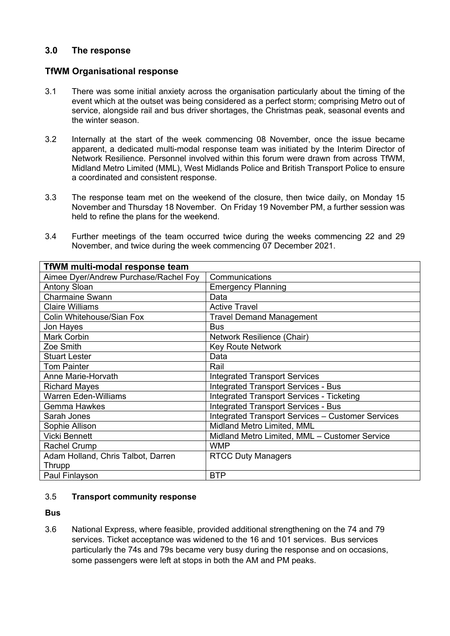# **3.0 The response**

## **TfWM Organisational response**

- 3.1 There was some initial anxiety across the organisation particularly about the timing of the event which at the outset was being considered as a perfect storm; comprising Metro out of service, alongside rail and bus driver shortages, the Christmas peak, seasonal events and the winter season.
- 3.2 Internally at the start of the week commencing 08 November, once the issue became apparent, a dedicated multi-modal response team was initiated by the Interim Director of Network Resilience. Personnel involved within this forum were drawn from across TfWM, Midland Metro Limited (MML), West Midlands Police and British Transport Police to ensure a coordinated and consistent response.
- 3.3 The response team met on the weekend of the closure, then twice daily, on Monday 15 November and Thursday 18 November. On Friday 19 November PM, a further session was held to refine the plans for the weekend.
- 3.4 Further meetings of the team occurred twice during the weeks commencing 22 and 29 November, and twice during the week commencing 07 December 2021.

| <b>TfWM multi-modal response team</b> |                                                   |  |
|---------------------------------------|---------------------------------------------------|--|
| Aimee Dyer/Andrew Purchase/Rachel Foy | Communications                                    |  |
| <b>Antony Sloan</b>                   | <b>Emergency Planning</b>                         |  |
| <b>Charmaine Swann</b>                | Data                                              |  |
| <b>Claire Williams</b>                | <b>Active Travel</b>                              |  |
| Colin Whitehouse/Sian Fox             | <b>Travel Demand Management</b>                   |  |
| Jon Hayes                             | <b>Bus</b>                                        |  |
| Mark Corbin                           | Network Resilience (Chair)                        |  |
| Zoe Smith                             | <b>Key Route Network</b>                          |  |
| <b>Stuart Lester</b>                  | Data                                              |  |
| <b>Tom Painter</b>                    | Rail                                              |  |
| Anne Marie-Horvath                    | <b>Integrated Transport Services</b>              |  |
| <b>Richard Mayes</b>                  | <b>Integrated Transport Services - Bus</b>        |  |
| <b>Warren Eden-Williams</b>           | <b>Integrated Transport Services - Ticketing</b>  |  |
| Gemma Hawkes                          | <b>Integrated Transport Services - Bus</b>        |  |
| Sarah Jones                           | Integrated Transport Services - Customer Services |  |
| Sophie Allison                        | Midland Metro Limited, MML                        |  |
| <b>Vicki Bennett</b>                  | Midland Metro Limited, MML - Customer Service     |  |
| Rachel Crump                          | <b>WMP</b>                                        |  |
| Adam Holland, Chris Talbot, Darren    | <b>RTCC Duty Managers</b>                         |  |
| Thrupp                                |                                                   |  |
| Paul Finlayson                        | <b>BTP</b>                                        |  |

## 3.5 **Transport community response**

**Bus**

3.6 National Express, where feasible, provided additional strengthening on the 74 and 79 services. Ticket acceptance was widened to the 16 and 101 services. Bus services particularly the 74s and 79s became very busy during the response and on occasions, some passengers were left at stops in both the AM and PM peaks.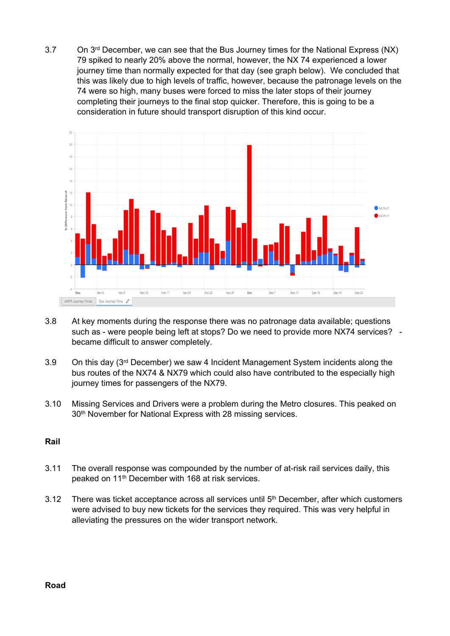3.7 On 3<sup>rd</sup> December, we can see that the Bus Journey times for the National Express (NX) 79 spiked to nearly 20% above the normal, however, the NX 74 experienced a lower journey time than normally expected for that day (see graph below). We concluded that this was likely due to high levels of traffic, however, because the patronage levels on the 74 were so high, many buses were forced to miss the later stops of their journey completing their journeys to the final stop quicker. Therefore, this is going to be a consideration in future should transport disruption of this kind occur.



- 3.8 At key moments during the response there was no patronage data available; questions such as - were people being left at stops? Do we need to provide more NX74 services? became difficult to answer completely.
- 3.9 On this day (3<sup>rd</sup> December) we saw 4 Incident Management System incidents along the bus routes of the NX74 & NX79 which could also have contributed to the especially high journey times for passengers of the NX79.
- 3.10 Missing Services and Drivers were a problem during the Metro closures. This peaked on 30<sup>th</sup> November for National Express with 28 missing services.

## **Rail**

- 3.11 The overall response was compounded by the number of at-risk rail services daily, this peaked on 11th December with 168 at risk services.
- 3.12 There was ticket acceptance across all services until 5<sup>th</sup> December, after which customers were advised to buy new tickets for the services they required. This was very helpful in alleviating the pressures on the wider transport network.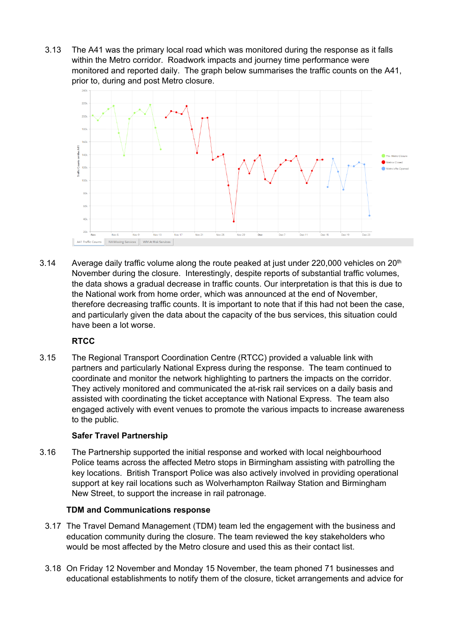3.13 The A41 was the primary local road which was monitored during the response as it falls within the Metro corridor. Roadwork impacts and journey time performance were monitored and reported daily. The graph below summarises the traffic counts on the A41, prior to, during and post Metro closure.



3.14 Average daily traffic volume along the route peaked at just under 220,000 vehicles on 20<sup>th</sup> November during the closure. Interestingly, despite reports of substantial traffic volumes, the data shows a gradual decrease in traffic counts. Our interpretation is that this is due to the National work from home order, which was announced at the end of November, therefore decreasing traffic counts. It is important to note that if this had not been the case, and particularly given the data about the capacity of the bus services, this situation could have been a lot worse.

# **RTCC**

3.15 The Regional Transport Coordination Centre (RTCC) provided a valuable link with partners and particularly National Express during the response. The team continued to coordinate and monitor the network highlighting to partners the impacts on the corridor. They actively monitored and communicated the at-risk rail services on a daily basis and assisted with coordinating the ticket acceptance with National Express. The team also engaged actively with event venues to promote the various impacts to increase awareness to the public.

# **Safer Travel Partnership**

3.16 The Partnership supported the initial response and worked with local neighbourhood Police teams across the affected Metro stops in Birmingham assisting with patrolling the key locations. British Transport Police was also actively involved in providing operational support at key rail locations such as Wolverhampton Railway Station and Birmingham New Street, to support the increase in rail patronage.

# **TDM and Communications response**

- 3.17 The Travel Demand Management (TDM) team led the engagement with the business and education community during the closure. The team reviewed the key stakeholders who would be most affected by the Metro closure and used this as their contact list.
- 3.18 On Friday 12 November and Monday 15 November, the team phoned 71 businesses and educational establishments to notify them of the closure, ticket arrangements and advice for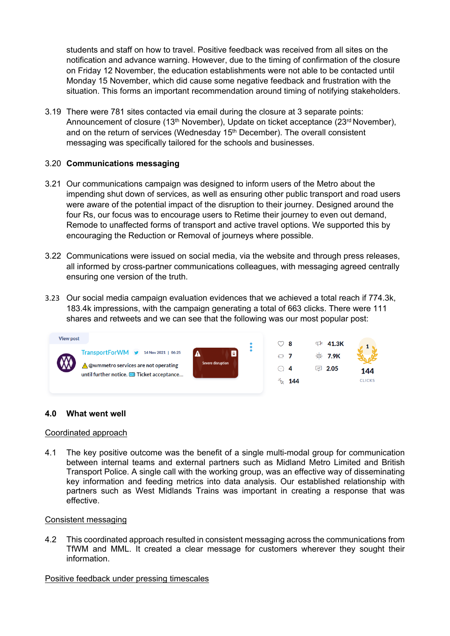students and staff on how to travel. Positive feedback was received from all sites on the notification and advance warning. However, due to the timing of confirmation of the closure on Friday 12 November, the education establishments were not able to be contacted until Monday 15 November, which did cause some negative feedback and frustration with the situation. This forms an important recommendation around timing of notifying stakeholders.

3.19 There were 781 sites contacted via email during the closure at 3 separate points: Announcement of closure (13<sup>th</sup> November), Update on ticket acceptance (23<sup>rd</sup> November), and on the return of services (Wednesday 15<sup>th</sup> December). The overall consistent messaging was specifically tailored for the schools and businesses.

#### 3.20 **Communications messaging**

- 3.21 Our communications campaign was designed to inform users of the Metro about the impending shut down of services, as well as ensuring other public transport and road users were aware of the potential impact of the disruption to their journey. Designed around the four Rs, our focus was to encourage users to Retime their journey to even out demand, Remode to unaffected forms of transport and active travel options. We supported this by encouraging the Reduction or Removal of journeys where possible.
- 3.22 Communications were issued on social media, via the website and through press releases, all informed by cross-partner communications colleagues, with messaging agreed centrally ensuring one version of the truth.
- 3.23 Our social media campaign evaluation evidences that we achieved a total reach if 774.3k, 183.4k impressions, with the campaign generating a total of 663 clicks. There were 111 shares and retweets and we can see that the following was our most popular post:



#### **4.0 What went well**

#### Coordinated approach

4.1 The key positive outcome was the benefit of a single multi-modal group for communication between internal teams and external partners such as Midland Metro Limited and British Transport Police. A single call with the working group, was an effective way of disseminating key information and feeding metrics into data analysis. Our established relationship with partners such as West Midlands Trains was important in creating a response that was effective.

#### Consistent messaging

4.2 This coordinated approach resulted in consistent messaging across the communications from TfWM and MML. It created a clear message for customers wherever they sought their information.

#### Positive feedback under pressing timescales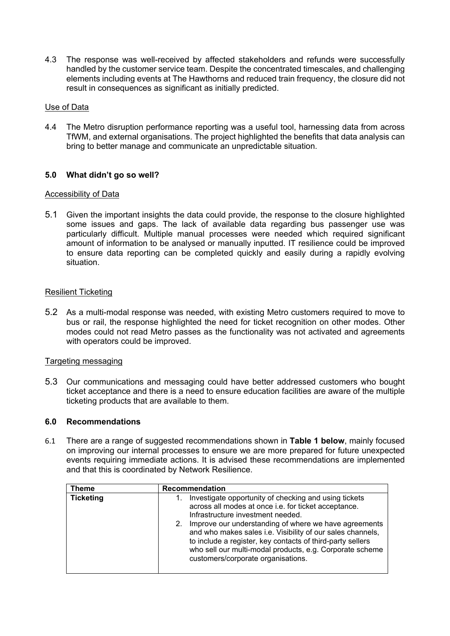4.3 The response was well-received by affected stakeholders and refunds were successfully handled by the customer service team. Despite the concentrated timescales, and challenging elements including events at The Hawthorns and reduced train frequency, the closure did not result in consequences as significant as initially predicted.

## Use of Data

4.4 The Metro disruption performance reporting was a useful tool, harnessing data from across TfWM, and external organisations. The project highlighted the benefits that data analysis can bring to better manage and communicate an unpredictable situation.

# **5.0 What didn't go so well?**

## Accessibility of Data

5.1 Given the important insights the data could provide, the response to the closure highlighted some issues and gaps. The lack of available data regarding bus passenger use was particularly difficult. Multiple manual processes were needed which required significant amount of information to be analysed or manually inputted. IT resilience could be improved to ensure data reporting can be completed quickly and easily during a rapidly evolving situation.

#### Resilient Ticketing

5.2 As a multi-modal response was needed, with existing Metro customers required to move to bus or rail, the response highlighted the need for ticket recognition on other modes. Other modes could not read Metro passes as the functionality was not activated and agreements with operators could be improved.

## Targeting messaging

5.3 Our communications and messaging could have better addressed customers who bought ticket acceptance and there is a need to ensure education facilities are aware of the multiple ticketing products that are available to them.

#### **6.0 Recommendations**

6.1 There are a range of suggested recommendations shown in **Table 1 below**, mainly focused on improving our internal processes to ensure we are more prepared for future unexpected events requiring immediate actions. It is advised these recommendations are implemented and that this is coordinated by Network Resilience.

| <b>Theme</b>     | <b>Recommendation</b>                                                                                                                                                                                                                                                                     |
|------------------|-------------------------------------------------------------------------------------------------------------------------------------------------------------------------------------------------------------------------------------------------------------------------------------------|
| <b>Ticketing</b> | Investigate opportunity of checking and using tickets<br>across all modes at once i.e. for ticket acceptance.<br>Infrastructure investment needed.                                                                                                                                        |
|                  | Improve our understanding of where we have agreements<br>2.<br>and who makes sales i.e. Visibility of our sales channels,<br>to include a register, key contacts of third-party sellers<br>who sell our multi-modal products, e.g. Corporate scheme<br>customers/corporate organisations. |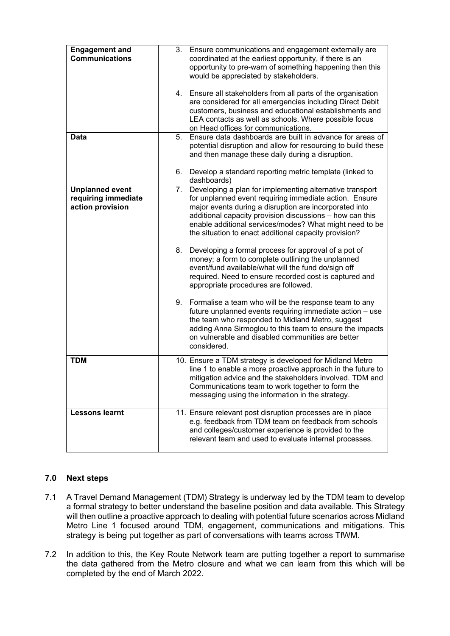| <b>Engagement and</b><br><b>Communications</b>                    | 3.<br>Ensure communications and engagement externally are<br>coordinated at the earliest opportunity, if there is an<br>opportunity to pre-warn of something happening then this<br>would be appreciated by stakeholders.                                                                                                                                          |
|-------------------------------------------------------------------|--------------------------------------------------------------------------------------------------------------------------------------------------------------------------------------------------------------------------------------------------------------------------------------------------------------------------------------------------------------------|
|                                                                   | Ensure all stakeholders from all parts of the organisation<br>4.<br>are considered for all emergencies including Direct Debit<br>customers, business and educational establishments and<br>LEA contacts as well as schools. Where possible focus<br>on Head offices for communications.                                                                            |
| Data                                                              | 5.<br>Ensure data dashboards are built in advance for areas of<br>potential disruption and allow for resourcing to build these<br>and then manage these daily during a disruption.                                                                                                                                                                                 |
|                                                                   | Develop a standard reporting metric template (linked to<br>6.<br>dashboards)                                                                                                                                                                                                                                                                                       |
| <b>Unplanned event</b><br>requiring immediate<br>action provision | Developing a plan for implementing alternative transport<br>7.<br>for unplanned event requiring immediate action. Ensure<br>major events during a disruption are incorporated into<br>additional capacity provision discussions - how can this<br>enable additional services/modes? What might need to be<br>the situation to enact additional capacity provision? |
|                                                                   | 8.<br>Developing a formal process for approval of a pot of<br>money; a form to complete outlining the unplanned<br>event/fund available/what will the fund do/sign off<br>required. Need to ensure recorded cost is captured and<br>appropriate procedures are followed.                                                                                           |
|                                                                   | 9.<br>Formalise a team who will be the response team to any<br>future unplanned events requiring immediate action - use<br>the team who responded to Midland Metro, suggest<br>adding Anna Sirmoglou to this team to ensure the impacts<br>on vulnerable and disabled communities are better<br>considered.                                                        |
| <b>TDM</b>                                                        | 10. Ensure a TDM strategy is developed for Midland Metro<br>line 1 to enable a more proactive approach in the future to<br>mitigation advice and the stakeholders involved. TDM and<br>Communications team to work together to form the<br>messaging using the information in the strategy.                                                                        |
| <b>Lessons learnt</b>                                             | 11. Ensure relevant post disruption processes are in place<br>e.g. feedback from TDM team on feedback from schools<br>and colleges/customer experience is provided to the<br>relevant team and used to evaluate internal processes.                                                                                                                                |

# **7.0 Next steps**

- 7.1 A Travel Demand Management (TDM) Strategy is underway led by the TDM team to develop a formal strategy to better understand the baseline position and data available. This Strategy will then outline a proactive approach to dealing with potential future scenarios across Midland Metro Line 1 focused around TDM, engagement, communications and mitigations. This strategy is being put together as part of conversations with teams across TfWM.
- 7.2 In addition to this, the Key Route Network team are putting together a report to summarise the data gathered from the Metro closure and what we can learn from this which will be completed by the end of March 2022.